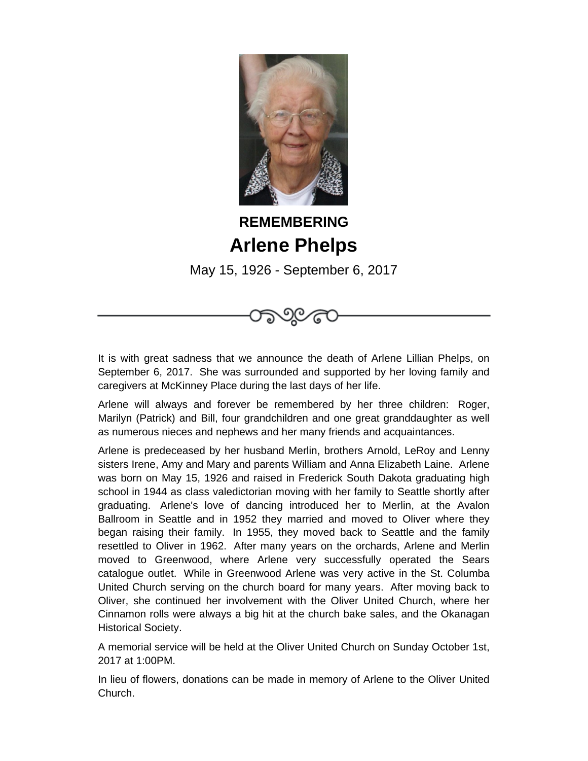

## **REMEMBERING Arlene Phelps**

May 15, 1926 - September 6, 2017

It is with great sadness that we announce the death of Arlene Lillian Phelps, on September 6, 2017. She was surrounded and supported by her loving family and caregivers at McKinney Place during the last days of her life.

Arlene will always and forever be remembered by her three children: Roger, Marilyn (Patrick) and Bill, four grandchildren and one great granddaughter as well as numerous nieces and nephews and her many friends and acquaintances.

Arlene is predeceased by her husband Merlin, brothers Arnold, LeRoy and Lenny sisters Irene, Amy and Mary and parents William and Anna Elizabeth Laine. Arlene was born on May 15, 1926 and raised in Frederick South Dakota graduating high school in 1944 as class valedictorian moving with her family to Seattle shortly after graduating. Arlene's love of dancing introduced her to Merlin, at the Avalon Ballroom in Seattle and in 1952 they married and moved to Oliver where they began raising their family. In 1955, they moved back to Seattle and the family resettled to Oliver in 1962. After many years on the orchards, Arlene and Merlin moved to Greenwood, where Arlene very successfully operated the Sears catalogue outlet. While in Greenwood Arlene was very active in the St. Columba United Church serving on the church board for many years. After moving back to Oliver, she continued her involvement with the Oliver United Church, where her Cinnamon rolls were always a big hit at the church bake sales, and the Okanagan Historical Society.

A memorial service will be held at the Oliver United Church on Sunday October 1st, 2017 at 1:00PM.

In lieu of flowers, donations can be made in memory of Arlene to the Oliver United Church.